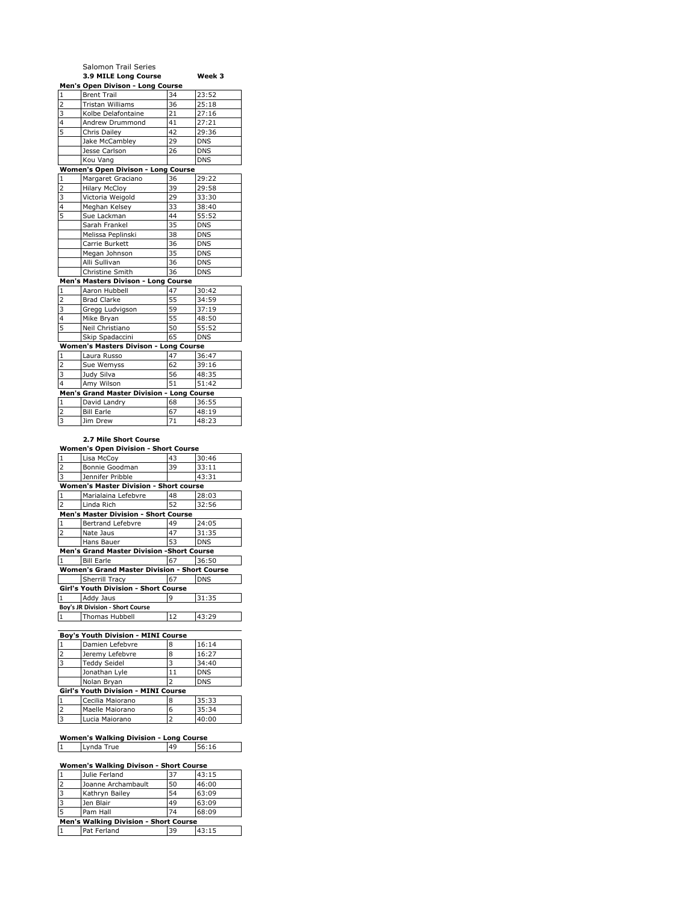|                         | Salomon Trail Series                         |    |            |
|-------------------------|----------------------------------------------|----|------------|
|                         | 3.9 MILE Long Course                         |    | Week 3     |
|                         | Men's Open Divison - Long Course             |    |            |
| $\mathbf{1}$            | <b>Brent Trail</b>                           | 34 | 23:52      |
| $\overline{\mathbf{z}}$ | <b>Tristan Williams</b>                      | 36 | 25:18      |
| 3                       | Kolbe Delafontaine                           | 21 | 27:16      |
| 4                       | Andrew Drummond                              | 41 | 27:21      |
| 5                       | Chris Dailey                                 | 42 | 29:36      |
|                         | Jake McCambley                               | 29 | <b>DNS</b> |
|                         | Jesse Carlson                                | 26 | <b>DNS</b> |
|                         | Kou Vang                                     |    | <b>DNS</b> |
|                         | Women's Open Divison - Long Course           |    |            |
| $\mathbf{1}$            | Margaret Graciano                            | 36 | 29:22      |
| $\overline{2}$          | <b>Hilary McCloy</b>                         | 39 | 29:58      |
| 3                       | Victoria Weigold                             | 29 | 33:30      |
| 4                       | Meghan Kelsey                                | 33 | 38:40      |
| 5                       | Sue Lackman                                  | 44 | 55:52      |
|                         | Sarah Frankel                                | 35 | <b>DNS</b> |
|                         | Melissa Peplinski                            | 38 | <b>DNS</b> |
|                         | Carrie Burkett                               | 36 | <b>DNS</b> |
|                         | Megan Johnson                                | 35 | <b>DNS</b> |
|                         | Alli Sullivan                                | 36 | <b>DNS</b> |
|                         | Christine Smith                              | 36 | <b>DNS</b> |
|                         | Men's Masters Divison - Long Course          |    |            |
| $\mathbf{1}$            | Aaron Hubbell                                | 47 | 30:42      |
| $\overline{2}$          | <b>Brad Clarke</b>                           | 55 | 34:59      |
| 3                       | Gregg Ludvigson                              | 59 | 37:19      |
| $\overline{4}$          | Mike Bryan                                   | 55 | 48:50      |
| 5                       | Neil Christiano                              | 50 | 55:52      |
|                         | Skip Spadaccini                              | 65 | <b>DNS</b> |
|                         | <b>Women's Masters Divison - Long Course</b> |    |            |
| $\mathbf{1}$            | Laura Russo                                  | 47 | 36:47      |
| $\overline{2}$          | Sue Wemyss                                   | 62 | 39:16      |
| 3                       | Judy Silva                                   | 56 | 48:35      |
| 4                       | Amy Wilson                                   | 51 | 51:42      |
|                         | Men's Grand Master Division - Long Course    |    |            |
| $\mathbf{1}$            | David Landry                                 | 68 | 36:55      |
| $\overline{2}$          | <b>Bill Earle</b>                            | 67 | 48:19      |
| 3                       | Jim Drew                                     | 71 | 48:23      |

## **2.7 Mile Short Course**

| <b>Women's Open Division - Short Course</b>         |                       |    |            |  |  |
|-----------------------------------------------------|-----------------------|----|------------|--|--|
| $\mathbf 1$                                         | Lisa McCoy            | 43 | 30:46      |  |  |
| $\overline{2}$                                      | Bonnie Goodman        | 39 | 33:11      |  |  |
| $\overline{3}$                                      | Jennifer Pribble      |    | 43:31      |  |  |
| <b>Women's Master Division - Short course</b>       |                       |    |            |  |  |
| $\mathbf 1$                                         | Marialaina Lefebvre   | 48 | 28:03      |  |  |
| $\overline{2}$                                      | Linda Rich            | 52 | 32:56      |  |  |
| <b>Men's Master Division - Short Course</b>         |                       |    |            |  |  |
| $\mathbf{1}$                                        | Bertrand Lefebvre     | 49 | 24:05      |  |  |
| $\overline{2}$                                      | Nate Jaus             | 47 | 31:35      |  |  |
|                                                     | Hans Bauer            | 53 | <b>DNS</b> |  |  |
| <b>Men's Grand Master Division -Short Course</b>    |                       |    |            |  |  |
| $\mathbf{1}$                                        | <b>Bill Earle</b>     | 67 | 36:50      |  |  |
| <b>Women's Grand Master Division - Short Course</b> |                       |    |            |  |  |
|                                                     | <b>Sherrill Tracy</b> | 67 | <b>DNS</b> |  |  |
| Girl's Youth Division - Short Course                |                       |    |            |  |  |
| $\mathbf{1}$                                        | Addy Jaus             | 9  | 31:35      |  |  |
| Boy's JR Division - Short Course                    |                       |    |            |  |  |
| $\mathbf{1}$                                        | Thomas Hubbell        | 12 | 43:29      |  |  |

#### **Boy's Youth Division - MINI Course** 1 Damien Lefebvre 8 16:14<br>2 Jeremy Lefebvre 8 16:27 Jeremy Lefebvre 3 Teddy Seidel 3 34:40<br>Jonathan Lyle 11 DNS Jonathan Lyle 11 DNS<br>Nolan Bryan 2 DNS Nolan Bryan 2 **Girl's Youth Division - MINI Course** 1 Cecilia Maiorano 8 35:33 2 Maelle Maiorano 6 35:34 3 Lucia Maiorano 2 40:00

# **Women's Walking Division - Long Course**

1 Lynda True 49 56:16

 $\overline{\phantom{a}}$ 

| Women's Walking Divison - Short Course       |                    |    |       |  |  |
|----------------------------------------------|--------------------|----|-------|--|--|
|                                              | Julie Ferland      | 37 | 43:15 |  |  |
| $\overline{2}$                               | Joanne Archambault | 50 | 46:00 |  |  |
| 13                                           | Kathryn Bailey     | 54 | 63:09 |  |  |
| 13                                           | Jen Blair          | 49 | 63:09 |  |  |
| 5                                            | Pam Hall           | 74 | 68:09 |  |  |
| <b>Men's Walking Division - Short Course</b> |                    |    |       |  |  |
|                                              | Pat Ferland        | 39 | 43:15 |  |  |